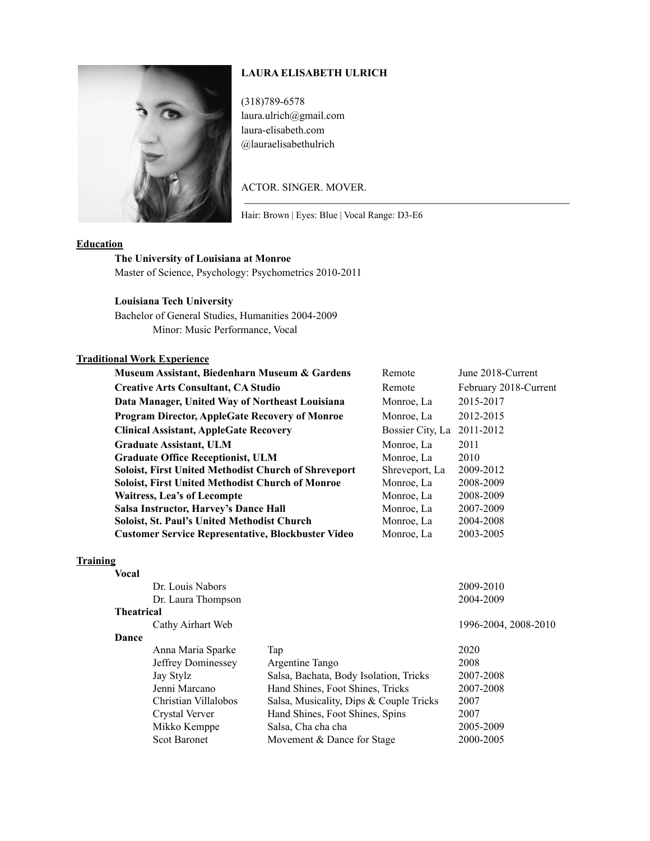## **LAURA ELISABETH ULRICH**



(318)789-6578 laura.ulrich@gmail.com laura-elisabeth.com @lauraelisabethulrich

### ACTOR. SINGER. MOVER.

Hair: Brown | Eyes: Blue | Vocal Range: D3-E6

#### **Education**

# **The University of Louisiana at Monroe**

Master of Science, Psychology: Psychometrics 2010-2011

### **Louisiana Tech University**

Bachelor of General Studies, Humanities 2004-2009 Minor: Music Performance, Vocal

#### **Traditional Work Experience**

| Museum Assistant, Biedenharn Museum & Gardens               | Remote                     | June 2018-Current     |
|-------------------------------------------------------------|----------------------------|-----------------------|
| <b>Creative Arts Consultant, CA Studio</b>                  | Remote                     | February 2018-Current |
| Data Manager, United Way of Northeast Louisiana             | Monroe, La                 | 2015-2017             |
| <b>Program Director, AppleGate Recovery of Monroe</b>       | Monroe, La                 | 2012-2015             |
| <b>Clinical Assistant, AppleGate Recovery</b>               | Bossier City, La 2011-2012 |                       |
| <b>Graduate Assistant, ULM</b>                              | Monroe, La                 | 2011                  |
| <b>Graduate Office Receptionist, ULM</b>                    | Monroe, La                 | 2010                  |
| <b>Soloist, First United Methodist Church of Shreveport</b> | Shreveport, La             | 2009-2012             |
| <b>Soloist, First United Methodist Church of Monroe</b>     | Monroe, La                 | 2008-2009             |
| Waitress, Lea's of Lecompte                                 | Monroe, La                 | 2008-2009             |
| Salsa Instructor, Harvey's Dance Hall                       | Monroe, La                 | 2007-2009             |
| <b>Soloist, St. Paul's United Methodist Church</b>          | Monroe, La                 | 2004-2008             |
| <b>Customer Service Representative, Blockbuster Video</b>   | Monroe, La                 | 2003-2005             |
|                                                             |                            |                       |

### **Training**

| <b>Vocal</b>      |                      |                                         |                      |
|-------------------|----------------------|-----------------------------------------|----------------------|
|                   | Dr. Louis Nabors     |                                         | 2009-2010            |
|                   | Dr. Laura Thompson   |                                         | 2004-2009            |
| <b>Theatrical</b> |                      |                                         |                      |
|                   | Cathy Airhart Web    |                                         | 1996-2004, 2008-2010 |
| <b>Dance</b>      |                      |                                         |                      |
|                   | Anna Maria Sparke    | Tap                                     | 2020                 |
|                   | Jeffrey Dominessey   | Argentine Tango                         | 2008                 |
|                   | Jay Stylz            | Salsa, Bachata, Body Isolation, Tricks  | 2007-2008            |
|                   | Jenni Marcano        | Hand Shines, Foot Shines, Tricks        | 2007-2008            |
|                   | Christian Villalobos | Salsa, Musicality, Dips & Couple Tricks | 2007                 |
|                   | Crystal Verver       | Hand Shines, Foot Shines, Spins         | 2007                 |
|                   | Mikko Kemppe         | Salsa, Cha cha cha                      | 2005-2009            |
|                   | <b>Scot Baronet</b>  | Movement & Dance for Stage              | 2000-2005            |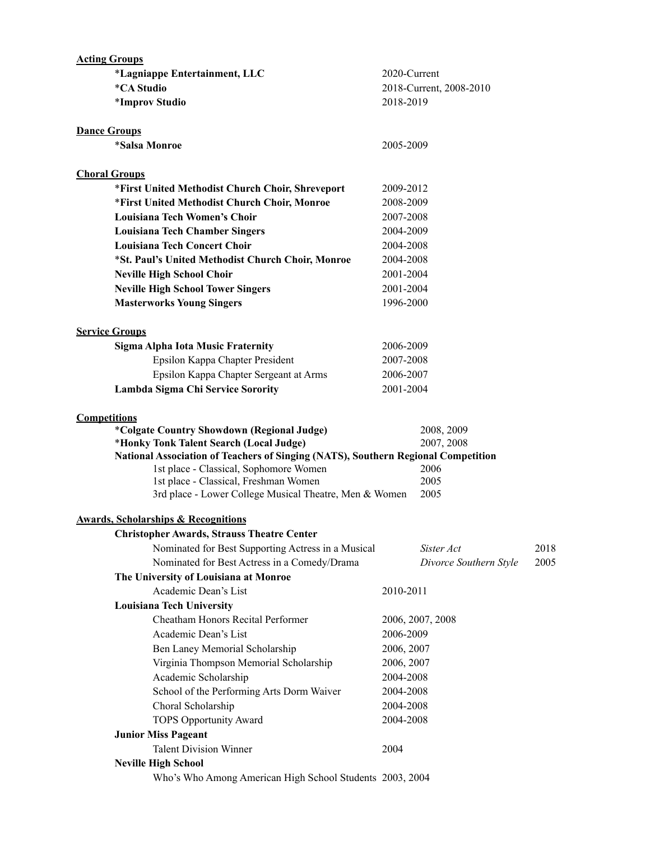| <b>Acting Groups</b>                                                              |                         |      |
|-----------------------------------------------------------------------------------|-------------------------|------|
| *Lagniappe Entertainment, LLC                                                     | 2020-Current            |      |
| <i><b>*CA Studio</b></i>                                                          | 2018-Current, 2008-2010 |      |
| *Improv Studio                                                                    | 2018-2019               |      |
| <b>Dance Groups</b>                                                               |                         |      |
| <i><b>*Salsa Monroe</b></i>                                                       | 2005-2009               |      |
| <b>Choral Groups</b>                                                              |                         |      |
| *First United Methodist Church Choir, Shreveport                                  | 2009-2012               |      |
| *First United Methodist Church Choir, Monroe                                      | 2008-2009               |      |
| Louisiana Tech Women's Choir                                                      | 2007-2008               |      |
| <b>Louisiana Tech Chamber Singers</b>                                             | 2004-2009               |      |
| <b>Louisiana Tech Concert Choir</b>                                               | 2004-2008               |      |
| *St. Paul's United Methodist Church Choir, Monroe                                 | 2004-2008               |      |
| <b>Neville High School Choir</b>                                                  | 2001-2004               |      |
| <b>Neville High School Tower Singers</b>                                          | 2001-2004               |      |
| <b>Masterworks Young Singers</b>                                                  | 1996-2000               |      |
|                                                                                   |                         |      |
| <b>Service Groups</b>                                                             |                         |      |
| <b>Sigma Alpha Iota Music Fraternity</b>                                          | 2006-2009               |      |
| Epsilon Kappa Chapter President                                                   | 2007-2008               |      |
| Epsilon Kappa Chapter Sergeant at Arms                                            | 2006-2007               |      |
| Lambda Sigma Chi Service Sorority                                                 | 2001-2004               |      |
| <b>Competitions</b>                                                               |                         |      |
| <i>*Colgate Country Showdown (Regional Judge)</i>                                 | 2008, 2009              |      |
| *Honky Tonk Talent Search (Local Judge)                                           | 2007, 2008              |      |
| National Association of Teachers of Singing (NATS), Southern Regional Competition |                         |      |
| 1st place - Classical, Sophomore Women<br>1st place - Classical, Freshman Women   | 2006<br>2005            |      |
| 3rd place - Lower College Musical Theatre, Men & Women                            | 2005                    |      |
|                                                                                   |                         |      |
| <b>Awards, Scholarships &amp; Recognitions</b>                                    |                         |      |
| <b>Christopher Awards, Strauss Theatre Center</b>                                 |                         |      |
| Nominated for Best Supporting Actress in a Musical                                | Sister Act              | 2018 |
| Nominated for Best Actress in a Comedy/Drama                                      | Divorce Southern Style  | 2005 |
| The University of Louisiana at Monroe                                             |                         |      |
| Academic Dean's List                                                              | 2010-2011               |      |
| <b>Louisiana Tech University</b>                                                  |                         |      |
| Cheatham Honors Recital Performer                                                 | 2006, 2007, 2008        |      |
| Academic Dean's List                                                              | 2006-2009               |      |
| Ben Laney Memorial Scholarship                                                    | 2006, 2007              |      |
| Virginia Thompson Memorial Scholarship                                            | 2006, 2007              |      |
| Academic Scholarship                                                              | 2004-2008               |      |
| School of the Performing Arts Dorm Waiver                                         | 2004-2008               |      |
| Choral Scholarship                                                                | 2004-2008               |      |
| <b>TOPS Opportunity Award</b>                                                     | 2004-2008               |      |
| <b>Junior Miss Pageant</b>                                                        |                         |      |
| <b>Talent Division Winner</b>                                                     | 2004                    |      |
| <b>Neville High School</b>                                                        |                         |      |
| Who's Who Among American High School Students 2003, 2004                          |                         |      |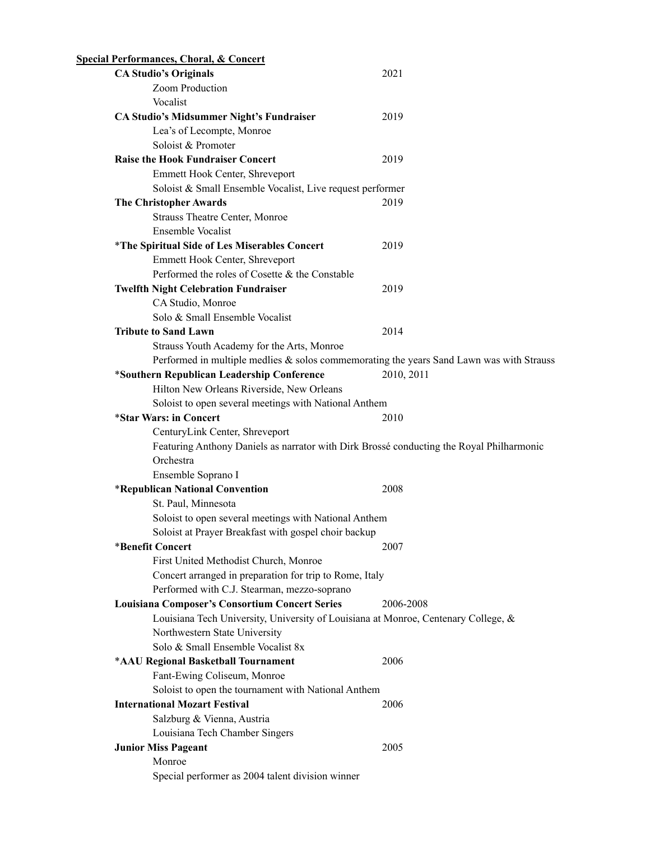| <b>Special Performances, Choral, &amp; Concert</b>                                       |            |
|------------------------------------------------------------------------------------------|------------|
| <b>CA Studio's Originals</b>                                                             | 2021       |
| Zoom Production                                                                          |            |
| Vocalist                                                                                 |            |
| <b>CA Studio's Midsummer Night's Fundraiser</b>                                          | 2019       |
| Lea's of Lecompte, Monroe                                                                |            |
| Soloist & Promoter                                                                       |            |
| <b>Raise the Hook Fundraiser Concert</b>                                                 | 2019       |
| Emmett Hook Center, Shreveport                                                           |            |
| Soloist & Small Ensemble Vocalist, Live request performer                                |            |
| <b>The Christopher Awards</b>                                                            | 2019       |
| Strauss Theatre Center, Monroe                                                           |            |
| <b>Ensemble Vocalist</b>                                                                 |            |
| <i>*The Spiritual Side of Les Miserables Concert</i>                                     | 2019       |
| Emmett Hook Center, Shreveport                                                           |            |
| Performed the roles of Cosette & the Constable                                           |            |
| <b>Twelfth Night Celebration Fundraiser</b>                                              | 2019       |
| CA Studio, Monroe                                                                        |            |
| Solo & Small Ensemble Vocalist                                                           |            |
| <b>Tribute to Sand Lawn</b>                                                              | 2014       |
|                                                                                          |            |
| Strauss Youth Academy for the Arts, Monroe                                               |            |
| Performed in multiple medlies & solos commemorating the years Sand Lawn was with Strauss |            |
| *Southern Republican Leadership Conference                                               | 2010, 2011 |
| Hilton New Orleans Riverside, New Orleans                                                |            |
| Soloist to open several meetings with National Anthem                                    |            |
| *Star Wars: in Concert                                                                   | 2010       |
| CenturyLink Center, Shreveport                                                           |            |
| Featuring Anthony Daniels as narrator with Dirk Brossé conducting the Royal Philharmonic |            |
| Orchestra                                                                                |            |
| Ensemble Soprano I                                                                       |            |
| *Republican National Convention                                                          | 2008       |
| St. Paul, Minnesota                                                                      |            |
| Soloist to open several meetings with National Anthem                                    |            |
| Soloist at Prayer Breakfast with gospel choir backup                                     |            |
| *Benefit Concert                                                                         | 2007       |
| First United Methodist Church, Monroe                                                    |            |
| Concert arranged in preparation for trip to Rome, Italy                                  |            |
| Performed with C.J. Stearman, mezzo-soprano                                              |            |
| <b>Louisiana Composer's Consortium Concert Series</b>                                    | 2006-2008  |
| Louisiana Tech University, University of Louisiana at Monroe, Centenary College, &       |            |
| Northwestern State University                                                            |            |
| Solo & Small Ensemble Vocalist 8x                                                        |            |
| *AAU Regional Basketball Tournament                                                      | 2006       |
| Fant-Ewing Coliseum, Monroe                                                              |            |
| Soloist to open the tournament with National Anthem                                      |            |
| <b>International Mozart Festival</b>                                                     | 2006       |
| Salzburg & Vienna, Austria                                                               |            |
| Louisiana Tech Chamber Singers                                                           |            |
| <b>Junior Miss Pageant</b>                                                               | 2005       |
| Monroe                                                                                   |            |
| Special performer as 2004 talent division winner                                         |            |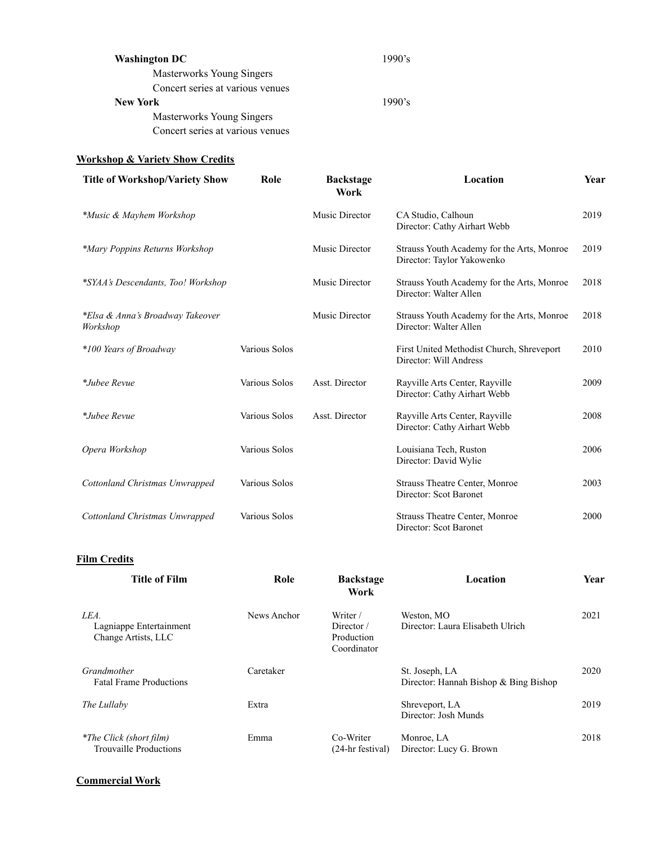| <b>Washington DC</b>             | 1990's |
|----------------------------------|--------|
| Masterworks Young Singers        |        |
| Concert series at various venues |        |
| <b>New York</b>                  | 1990's |
| Masterworks Young Singers        |        |
| Concert series at various venues |        |
|                                  |        |

## **Workshop & Variety Show Credits**

| <b>Title of Workshop/Variety Show</b>        | Role          | <b>Backstage</b><br>Work | Location                                                                 | Year |
|----------------------------------------------|---------------|--------------------------|--------------------------------------------------------------------------|------|
| *Music & Mayhem Workshop                     |               | Music Director           | CA Studio, Calhoun<br>Director: Cathy Airhart Webb                       | 2019 |
| *Mary Poppins Returns Workshop               |               | Music Director           | Strauss Youth Academy for the Arts, Monroe<br>Director: Taylor Yakowenko | 2019 |
| *SYAA's Descendants, Too! Workshop           |               | Music Director           | Strauss Youth Academy for the Arts, Monroe<br>Director: Walter Allen     | 2018 |
| *Elsa & Anna's Broadway Takeover<br>Workshop |               | Music Director           | Strauss Youth Academy for the Arts, Monroe<br>Director: Walter Allen     | 2018 |
| *100 Years of Broadway                       | Various Solos |                          | First United Methodist Church, Shreveport<br>Director: Will Andress      | 2010 |
| *Jubee Revue                                 | Various Solos | Asst. Director           | Rayville Arts Center, Rayville<br>Director: Cathy Airhart Webb           | 2009 |
| *Jubee Revue                                 | Various Solos | Asst. Director           | Rayville Arts Center, Rayville<br>Director: Cathy Airhart Webb           | 2008 |
| Opera Workshop                               | Various Solos |                          | Louisiana Tech, Ruston<br>Director: David Wylie                          | 2006 |
| Cottonland Christmas Unwrapped               | Various Solos |                          | Strauss Theatre Center, Monroe<br>Director: Scot Baronet                 | 2003 |
| Cottonland Christmas Unwrapped               | Various Solos |                          | Strauss Theatre Center, Monroe<br>Director: Scot Baronet                 | 2000 |
| <b>Film Credits</b>                          |               |                          |                                                                          |      |

| <b>Title of Film</b>                                            | Role        | <b>Backstage</b><br>Work                            | Location                                                | <b>Year</b> |
|-----------------------------------------------------------------|-------------|-----------------------------------------------------|---------------------------------------------------------|-------------|
| LEA.<br>Lagniappe Entertainment<br>Change Artists, LLC          | News Anchor | Writer /<br>Director /<br>Production<br>Coordinator | Weston, MO<br>Director: Laura Elisabeth Ulrich          | 2021        |
| Grandmother<br><b>Fatal Frame Productions</b>                   | Caretaker   |                                                     | St. Joseph, LA<br>Director: Hannah Bishop & Bing Bishop | 2020        |
| The Lullaby                                                     | Extra       |                                                     | Shreveport, LA<br>Director: Josh Munds                  | 2019        |
| <i>*The Click (short film)</i><br><b>Trouvaille Productions</b> | Emma        | Co-Writer<br>$(24-hr$ festival)                     | Monroe, LA<br>Director: Lucy G. Brown                   | 2018        |

**Commercial Work**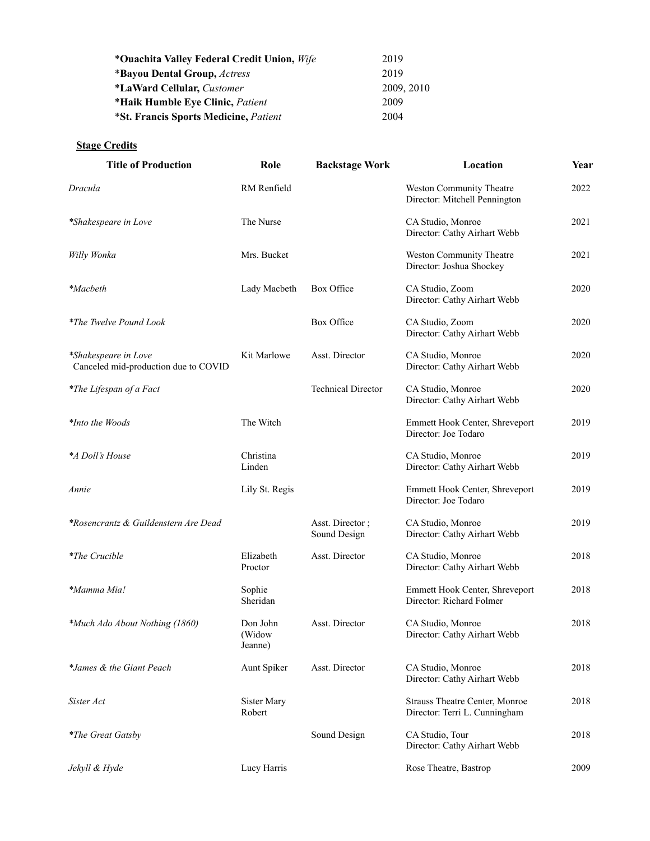| *Ouachita Valley Federal Credit Union, Wife  | 2019       |
|----------------------------------------------|------------|
| *Bayou Dental Group, <i>Actress</i>          | 2019       |
| <i>*LaWard Cellular, Customer</i>            | 2009, 2010 |
| *Haik Humble Eye Clinic, Patient             | 2009       |
| <i>*St. Francis Sports Medicine, Patient</i> | 2004       |

# **Stage Credits**

| <b>Title of Production</b>                                   | Role                          | <b>Backstage Work</b>           | Location                                                        | Year |
|--------------------------------------------------------------|-------------------------------|---------------------------------|-----------------------------------------------------------------|------|
| Dracula                                                      | RM Renfield                   |                                 | Weston Community Theatre<br>Director: Mitchell Pennington       | 2022 |
| *Shakespeare in Love                                         | The Nurse                     |                                 | CA Studio, Monroe<br>Director: Cathy Airhart Webb               | 2021 |
| Willy Wonka                                                  | Mrs. Bucket                   |                                 | Weston Community Theatre<br>Director: Joshua Shockey            | 2021 |
| <i>*Macbeth</i>                                              | Lady Macbeth                  | Box Office                      | CA Studio, Zoom<br>Director: Cathy Airhart Webb                 | 2020 |
| <i>*The Twelve Pound Look</i>                                |                               | Box Office                      | CA Studio, Zoom<br>Director: Cathy Airhart Webb                 | 2020 |
| *Shakespeare in Love<br>Canceled mid-production due to COVID | Kit Marlowe                   | Asst. Director                  | CA Studio, Monroe<br>Director: Cathy Airhart Webb               | 2020 |
| *The Lifespan of a Fact                                      |                               | <b>Technical Director</b>       | CA Studio, Monroe<br>Director: Cathy Airhart Webb               | 2020 |
| *Into the Woods                                              | The Witch                     |                                 | Emmett Hook Center, Shreveport<br>Director: Joe Todaro          | 2019 |
| *A Doll's House                                              | Christina<br>Linden           |                                 | CA Studio, Monroe<br>Director: Cathy Airhart Webb               | 2019 |
| Annie                                                        | Lily St. Regis                |                                 | Emmett Hook Center, Shreveport<br>Director: Joe Todaro          | 2019 |
| *Rosencrantz & Guildenstern Are Dead                         |                               | Asst. Director;<br>Sound Design | CA Studio, Monroe<br>Director: Cathy Airhart Webb               | 2019 |
| <i>*The Crucible</i>                                         | Elizabeth<br>Proctor          | Asst. Director                  | CA Studio, Monroe<br>Director: Cathy Airhart Webb               | 2018 |
| *Mamma Mia!                                                  | Sophie<br>Sheridan            |                                 | Emmett Hook Center, Shreveport<br>Director: Richard Folmer      | 2018 |
| <i>*Much Ado About Nothing (1860)</i>                        | Don John<br>(Widow<br>Jeanne) | Asst. Director                  | CA Studio, Monroe<br>Director: Cathy Airhart Webb               | 2018 |
| *James & the Giant Peach                                     | Aunt Spiker                   | Asst. Director                  | CA Studio, Monroe<br>Director: Cathy Airhart Webb               | 2018 |
| Sister Act                                                   | Sister Mary<br>Robert         |                                 | Strauss Theatre Center, Monroe<br>Director: Terri L. Cunningham | 2018 |
| <i>*The Great Gatsby</i>                                     |                               | Sound Design                    | CA Studio, Tour<br>Director: Cathy Airhart Webb                 | 2018 |
| Jekyll & Hyde                                                | Lucy Harris                   |                                 | Rose Theatre, Bastrop                                           | 2009 |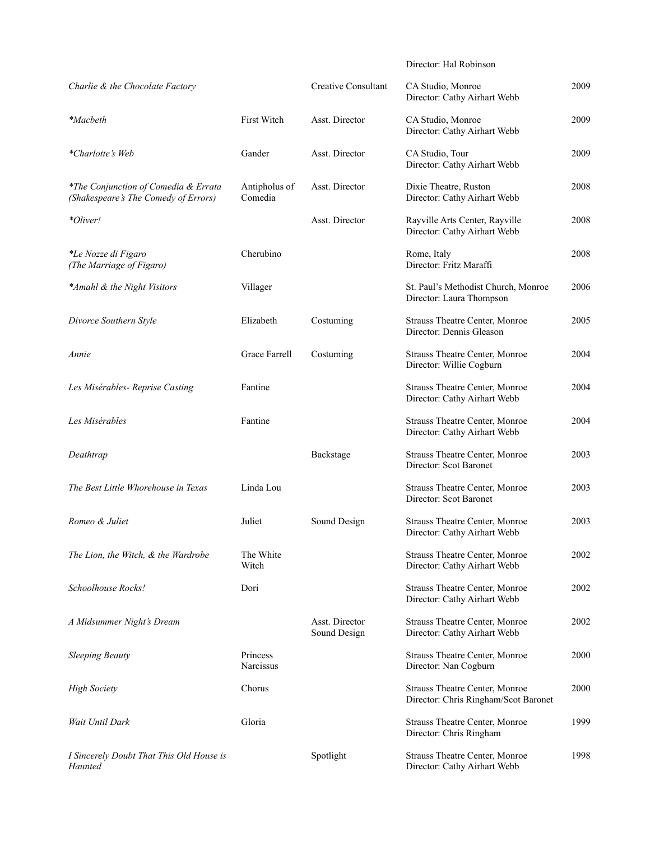Director: Hal Robinson

| Charlie & the Chocolate Factory                                              |                          | <b>Creative Consultant</b>     | CA Studio, Monroe<br>Director: Cathy Airhart Webb                      | 2009 |
|------------------------------------------------------------------------------|--------------------------|--------------------------------|------------------------------------------------------------------------|------|
| <i>*Macbeth</i>                                                              | First Witch              | Asst. Director                 | CA Studio, Monroe<br>Director: Cathy Airhart Webb                      | 2009 |
| *Charlotte's Web                                                             | Gander                   | Asst. Director                 | CA Studio, Tour<br>Director: Cathy Airhart Webb                        | 2009 |
| *The Conjunction of Comedia & Errata<br>(Shakespeare's The Comedy of Errors) | Antipholus of<br>Comedia | Asst. Director                 | Dixie Theatre, Ruston<br>Director: Cathy Airhart Webb                  | 2008 |
| *Oliver!                                                                     |                          | Asst. Director                 | Rayville Arts Center, Rayville<br>Director: Cathy Airhart Webb         | 2008 |
| <i>*Le Nozze di Figaro</i><br>(The Marriage of Figaro)                       | Cherubino                |                                | Rome, Italy<br>Director: Fritz Maraffi                                 | 2008 |
| *Amahl & the Night Visitors                                                  | Villager                 |                                | St. Paul's Methodist Church, Monroe<br>Director: Laura Thompson        | 2006 |
| Divorce Southern Style                                                       | Elizabeth                | Costuming                      | Strauss Theatre Center, Monroe<br>Director: Dennis Gleason             | 2005 |
| Annie                                                                        | Grace Farrell            | Costuming                      | Strauss Theatre Center, Monroe<br>Director: Willie Cogburn             | 2004 |
| Les Misérables- Reprise Casting                                              | Fantine                  |                                | Strauss Theatre Center, Monroe<br>Director: Cathy Airhart Webb         | 2004 |
| Les Misérables                                                               | Fantine                  |                                | Strauss Theatre Center, Monroe<br>Director: Cathy Airhart Webb         | 2004 |
| Deathtrap                                                                    |                          | Backstage                      | Strauss Theatre Center, Monroe<br>Director: Scot Baronet               | 2003 |
| The Best Little Whorehouse in Texas                                          | Linda Lou                |                                | Strauss Theatre Center, Monroe<br>Director: Scot Baronet               | 2003 |
| Romeo & Juliet                                                               | Juliet                   | Sound Design                   | Strauss Theatre Center, Monroe<br>Director: Cathy Airhart Webb         | 2003 |
| The Lion, the Witch, & the Wardrobe                                          | The White<br>Witch       |                                | Strauss Theatre Center, Monroe<br>Director: Cathy Airhart Webb         | 2002 |
| Schoolhouse Rocks!                                                           | Dori                     |                                | Strauss Theatre Center, Monroe<br>Director: Cathy Airhart Webb         | 2002 |
| A Midsummer Night's Dream                                                    |                          | Asst. Director<br>Sound Design | Strauss Theatre Center, Monroe<br>Director: Cathy Airhart Webb         | 2002 |
| <b>Sleeping Beauty</b>                                                       | Princess<br>Narcissus    |                                | Strauss Theatre Center, Monroe<br>Director: Nan Cogburn                | 2000 |
| <b>High Society</b>                                                          | Chorus                   |                                | Strauss Theatre Center, Monroe<br>Director: Chris Ringham/Scot Baronet | 2000 |
| Wait Until Dark                                                              | Gloria                   |                                | Strauss Theatre Center, Monroe<br>Director: Chris Ringham              | 1999 |
| I Sincerely Doubt That This Old House is<br>Haunted                          |                          | Spotlight                      | Strauss Theatre Center, Monroe<br>Director: Cathy Airhart Webb         | 1998 |